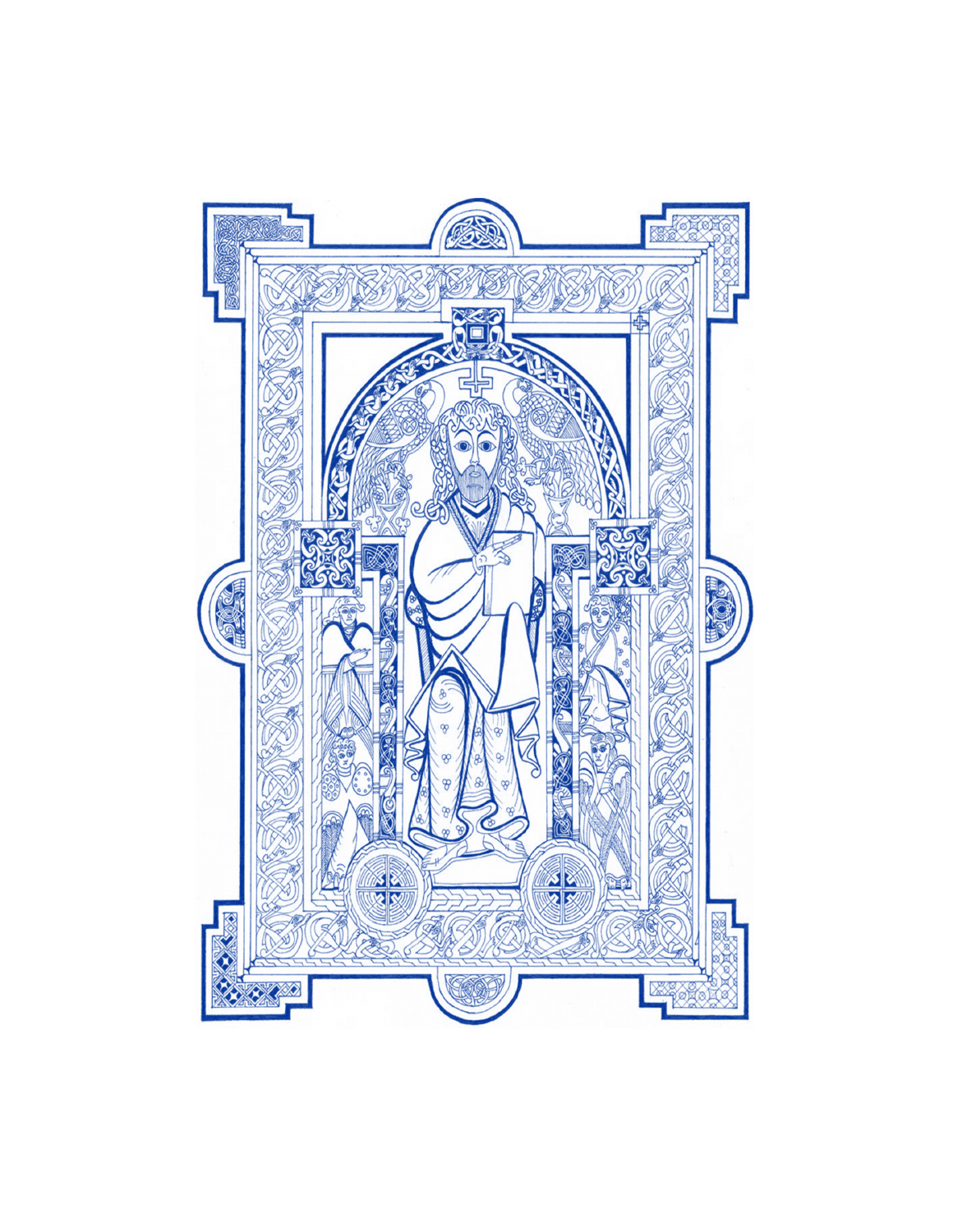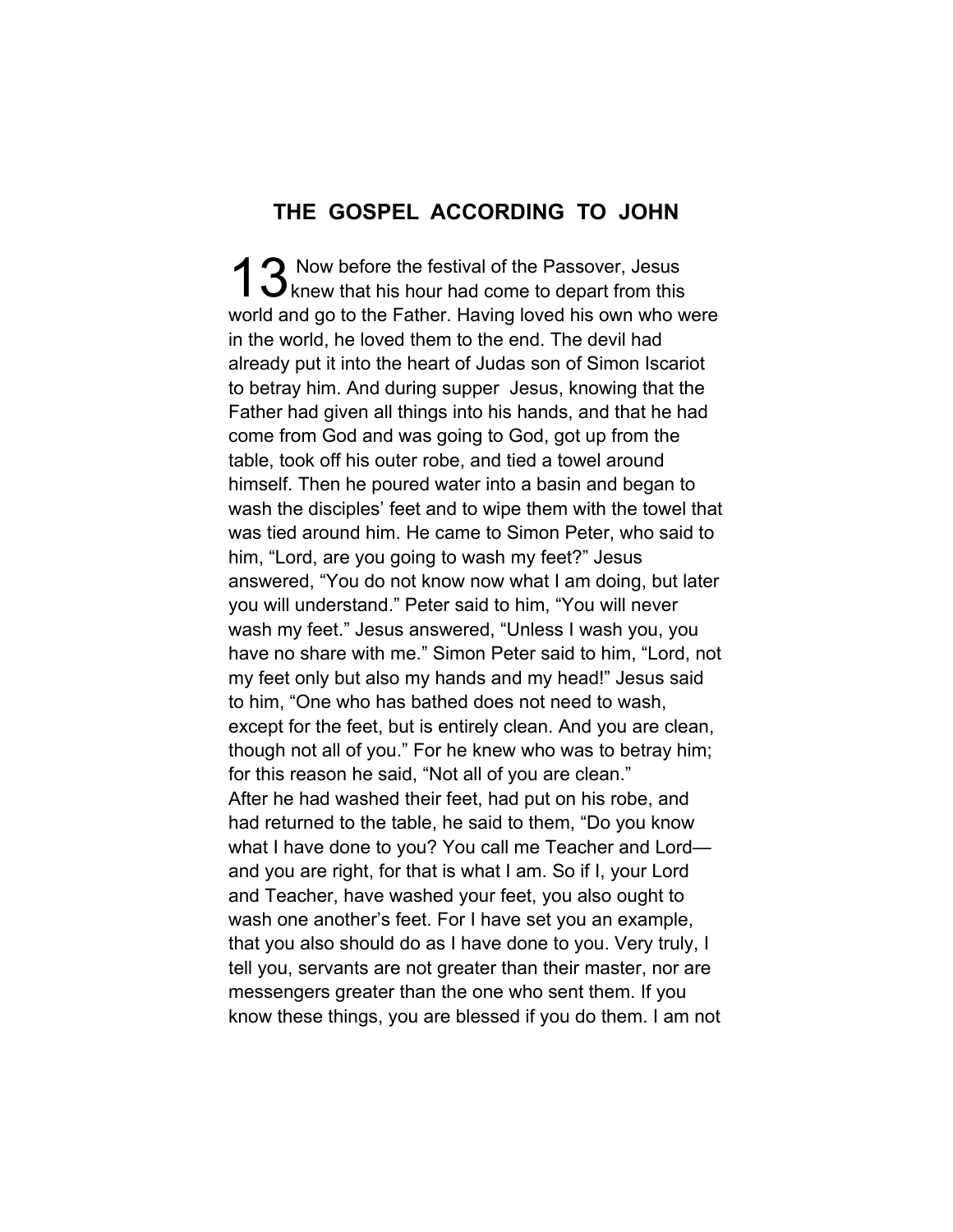## **THE GOSPEL ACCORDING TO JOHN**

13 Now before the festival of the Passover, Jesus<br>13 Knew that his hour had come to depart from this world and go to the Father. Having loved his own who were in the world, he loved them to the end. The devil had already put it into the heart of Judas son of Simon Iscariot to betray him. And during supper Jesus, knowing that the Father had given all things into his hands, and that he had come from God and was going to God, got up from the table, took off his outer robe, and tied a towel around himself. Then he poured water into a basin and began to wash the disciples' feet and to wipe them with the towel that was tied around him. He came to Simon Peter, who said to him, "Lord, are you going to wash my feet?" Jesus answered, "You do not know now what I am doing, but later you will understand." Peter said to him, "You will never wash my feet." Jesus answered, "Unless I wash you, you have no share with me." Simon Peter said to him, "Lord, not my feet only but also my hands and my head!" Jesus said to him, "One who has bathed does not need to wash, except for the feet, but is entirely clean. And you are clean, though not all of you." For he knew who was to betray him; for this reason he said, "Not all of you are clean." After he had washed their feet, had put on his robe, and had returned to the table, he said to them, "Do you know what I have done to you? You call me Teacher and Lord and you are right, for that is what I am. So if I, your Lord and Teacher, have washed your feet, you also ought to wash one another's feet. For I have set you an example, that you also should do as I have done to you. Very truly, I tell you, servants are not greater than their master, nor are messengers greater than the one who sent them. If you know these things, you are blessed if you do them. I am not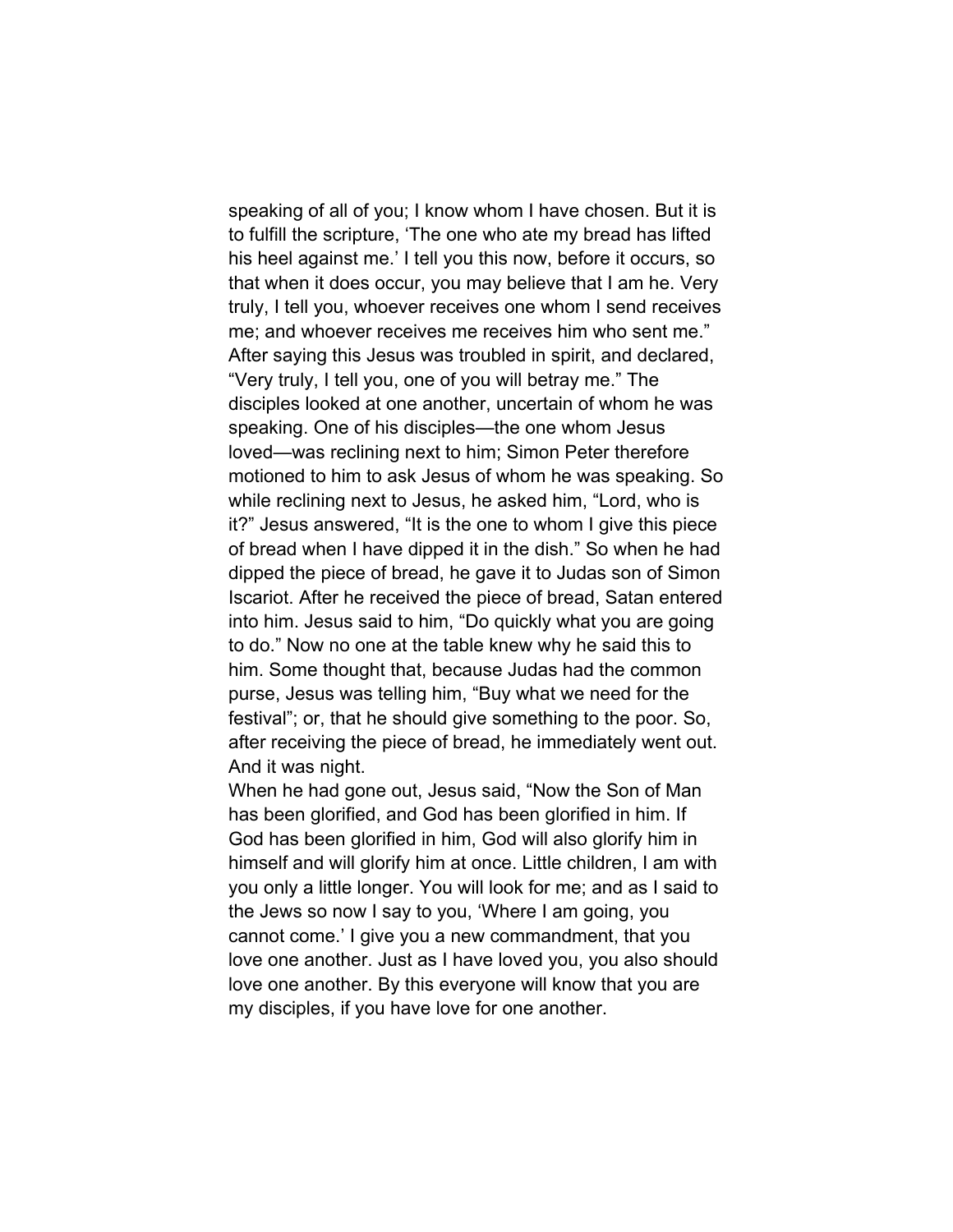speaking of all of you; I know whom I have chosen. But it is to fulfill the scripture, 'The one who ate my bread has lifted his heel against me.' I tell you this now, before it occurs, so that when it does occur, you may believe that I am he. Very truly, I tell you, whoever receives one whom I send receives me; and whoever receives me receives him who sent me." After saying this Jesus was troubled in spirit, and declared, "Very truly, I tell you, one of you will betray me." The disciples looked at one another, uncertain of whom he was speaking. One of his disciples—the one whom Jesus loved—was reclining next to him; Simon Peter therefore motioned to him to ask Jesus of whom he was speaking. So while reclining next to Jesus, he asked him, "Lord, who is it?" Jesus answered, "It is the one to whom I give this piece of bread when I have dipped it in the dish." So when he had dipped the piece of bread, he gave it to Judas son of Simon Iscariot. After he received the piece of bread, Satan entered into him. Jesus said to him, "Do quickly what you are going to do." Now no one at the table knew why he said this to him. Some thought that, because Judas had the common purse, Jesus was telling him, "Buy what we need for the festival"; or, that he should give something to the poor. So, after receiving the piece of bread, he immediately went out. And it was night.

When he had gone out, Jesus said, "Now the Son of Man has been glorified, and God has been glorified in him. If God has been glorified in him, God will also glorify him in himself and will glorify him at once. Little children, I am with you only a little longer. You will look for me; and as I said to the Jews so now I say to you, 'Where I am going, you cannot come.' I give you a new commandment, that you love one another. Just as I have loved you, you also should love one another. By this everyone will know that you are my disciples, if you have love for one another.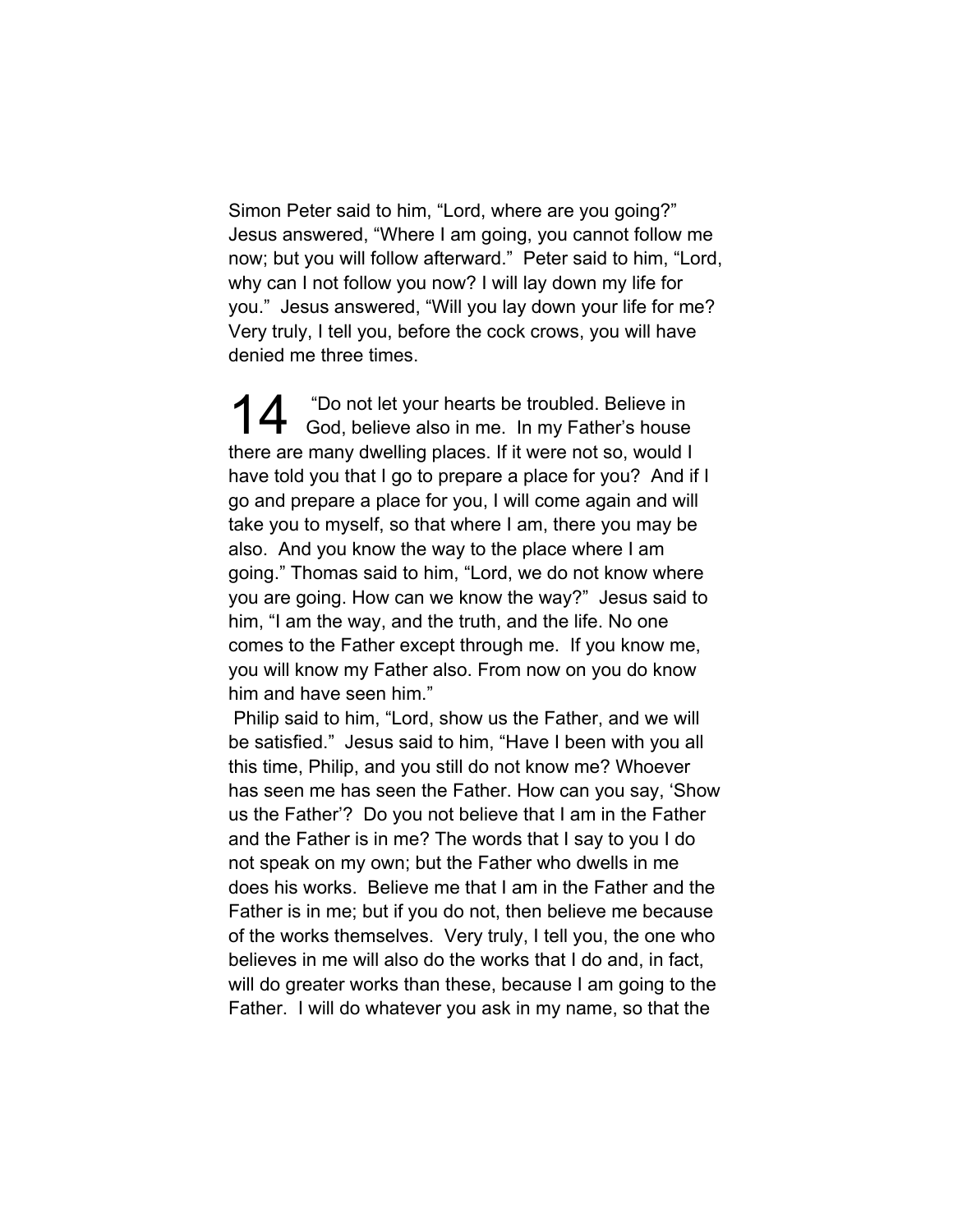Simon Peter said to him, "Lord, where are you going?" Jesus answered, "Where I am going, you cannot follow me now; but you will follow afterward." Peter said to him, "Lord, why can I not follow you now? I will lay down my life for you." Jesus answered, "Will you lay down your life for me? Very truly, I tell you, before the cock crows, you will have denied me three times.

14 "Do not let your hearts be troubled. Believe in God, believe also in me. In my Father's house there are many dwelling places. If it were not so, would I have told you that I go to prepare a place for you? And if I go and prepare a place for you, I will come again and will take you to myself, so that where I am, there you may be also. And you know the way to the place where I am going." Thomas said to him, "Lord, we do not know where you are going. How can we know the way?" Jesus said to him, "I am the way, and the truth, and the life. No one comes to the Father except through me. If you know me, you will know my Father also. From now on you do know him and have seen him."

 Philip said to him, "Lord, show us the Father, and we will be satisfied." Jesus said to him, "Have I been with you all this time, Philip, and you still do not know me? Whoever has seen me has seen the Father. How can you say, 'Show us the Father'? Do you not believe that I am in the Father and the Father is in me? The words that I say to you I do not speak on my own; but the Father who dwells in me does his works. Believe me that I am in the Father and the Father is in me; but if you do not, then believe me because of the works themselves. Very truly, I tell you, the one who believes in me will also do the works that I do and, in fact, will do greater works than these, because I am going to the Father. I will do whatever you ask in my name, so that the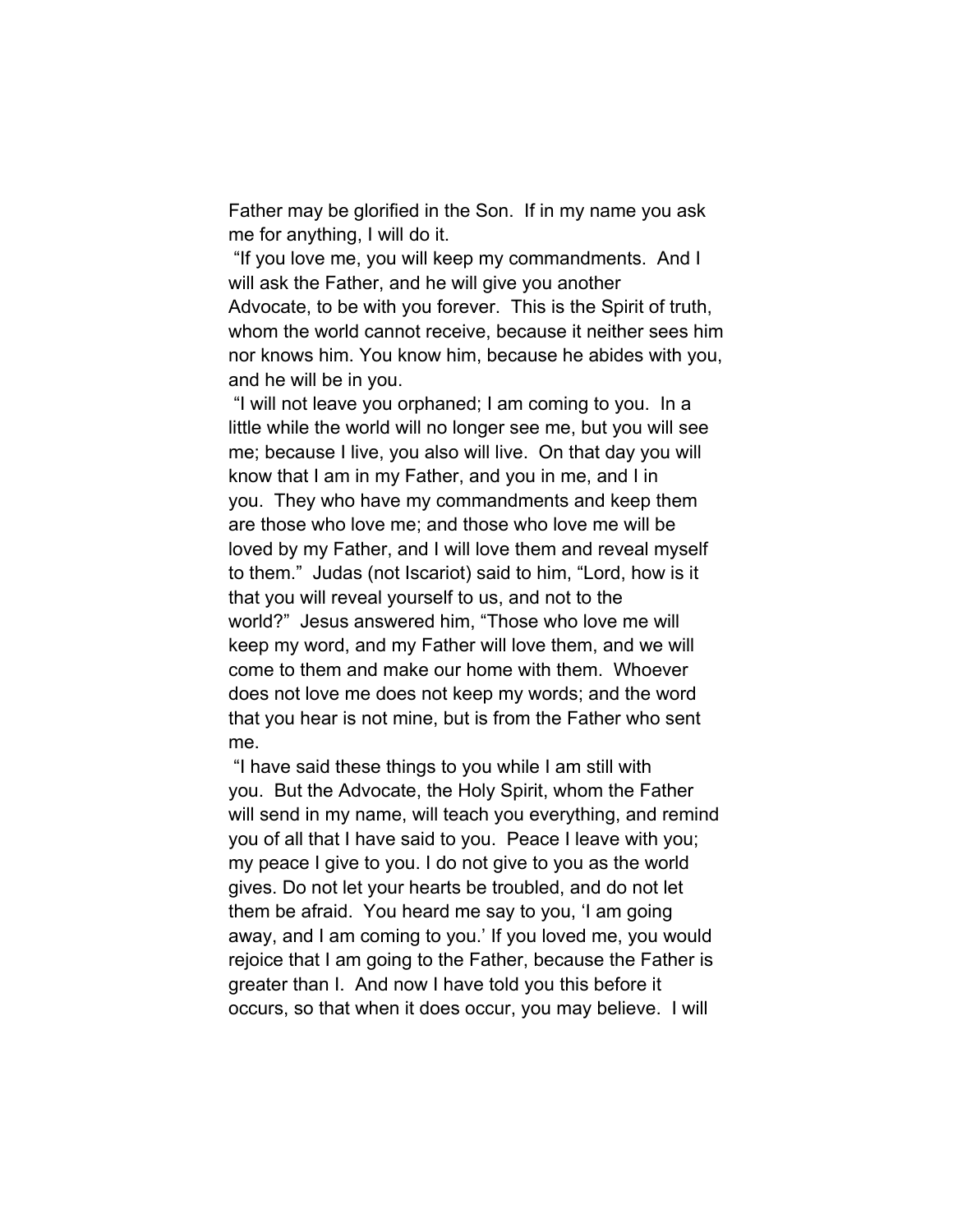Father may be glorified in the Son. If in my name you ask me for anything, I will do it.

 "If you love me, you will keep my commandments. And I will ask the Father, and he will give you another Advocate, to be with you forever. This is the Spirit of truth, whom the world cannot receive, because it neither sees him nor knows him. You know him, because he abides with you, and he will be in you.

 "I will not leave you orphaned; I am coming to you. In a little while the world will no longer see me, but you will see me; because I live, you also will live. On that day you will know that I am in my Father, and you in me, and I in you. They who have my commandments and keep them are those who love me; and those who love me will be loved by my Father, and I will love them and reveal myself to them." Judas (not Iscariot) said to him, "Lord, how is it that you will reveal yourself to us, and not to the world?" Jesus answered him, "Those who love me will keep my word, and my Father will love them, and we will come to them and make our home with them. Whoever does not love me does not keep my words; and the word that you hear is not mine, but is from the Father who sent me.

 "I have said these things to you while I am still with you. But the Advocate, the Holy Spirit, whom the Father will send in my name, will teach you everything, and remind you of all that I have said to you. Peace I leave with you; my peace I give to you. I do not give to you as the world gives. Do not let your hearts be troubled, and do not let them be afraid. You heard me say to you, 'I am going away, and I am coming to you.' If you loved me, you would rejoice that I am going to the Father, because the Father is greater than I. And now I have told you this before it occurs, so that when it does occur, you may believe. I will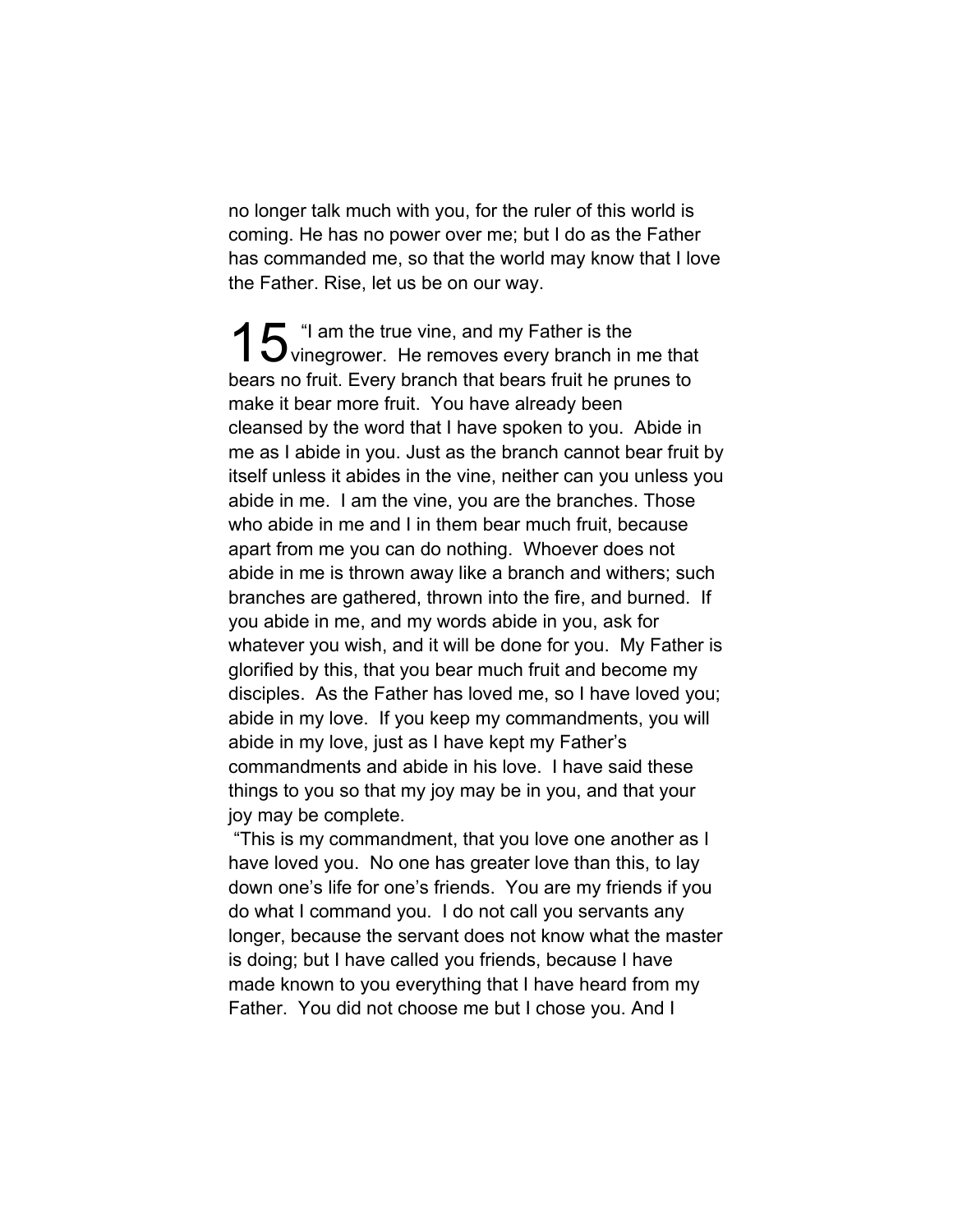no longer talk much with you, for the ruler of this world is coming. He has no power over me; but I do as the Father has commanded me, so that the world may know that I love the Father. Rise, let us be on our way.

15<sup>ti am the true vine, and my Father is the<br>15 vinegrower. He removes every branch in me that</sup> bears no fruit. Every branch that bears fruit he prunes to make it bear more fruit. You have already been cleansed by the word that I have spoken to you. Abide in me as I abide in you. Just as the branch cannot bear fruit by itself unless it abides in the vine, neither can you unless you abide in me. I am the vine, you are the branches. Those who abide in me and I in them bear much fruit, because apart from me you can do nothing. Whoever does not abide in me is thrown away like a branch and withers; such branches are gathered, thrown into the fire, and burned. If you abide in me, and my words abide in you, ask for whatever you wish, and it will be done for you. My Father is glorified by this, that you bear much fruit and become my disciples. As the Father has loved me, so I have loved you; abide in my love. If you keep my commandments, you will abide in my love, just as I have kept my Father's commandments and abide in his love. I have said these things to you so that my joy may be in you, and that your joy may be complete.

 "This is my commandment, that you love one another as I have loved you. No one has greater love than this, to lay down one's life for one's friends. You are my friends if you do what I command you. I do not call you servants any longer, because the servant does not know what the master is doing; but I have called you friends, because I have made known to you everything that I have heard from my Father. You did not choose me but I chose you. And I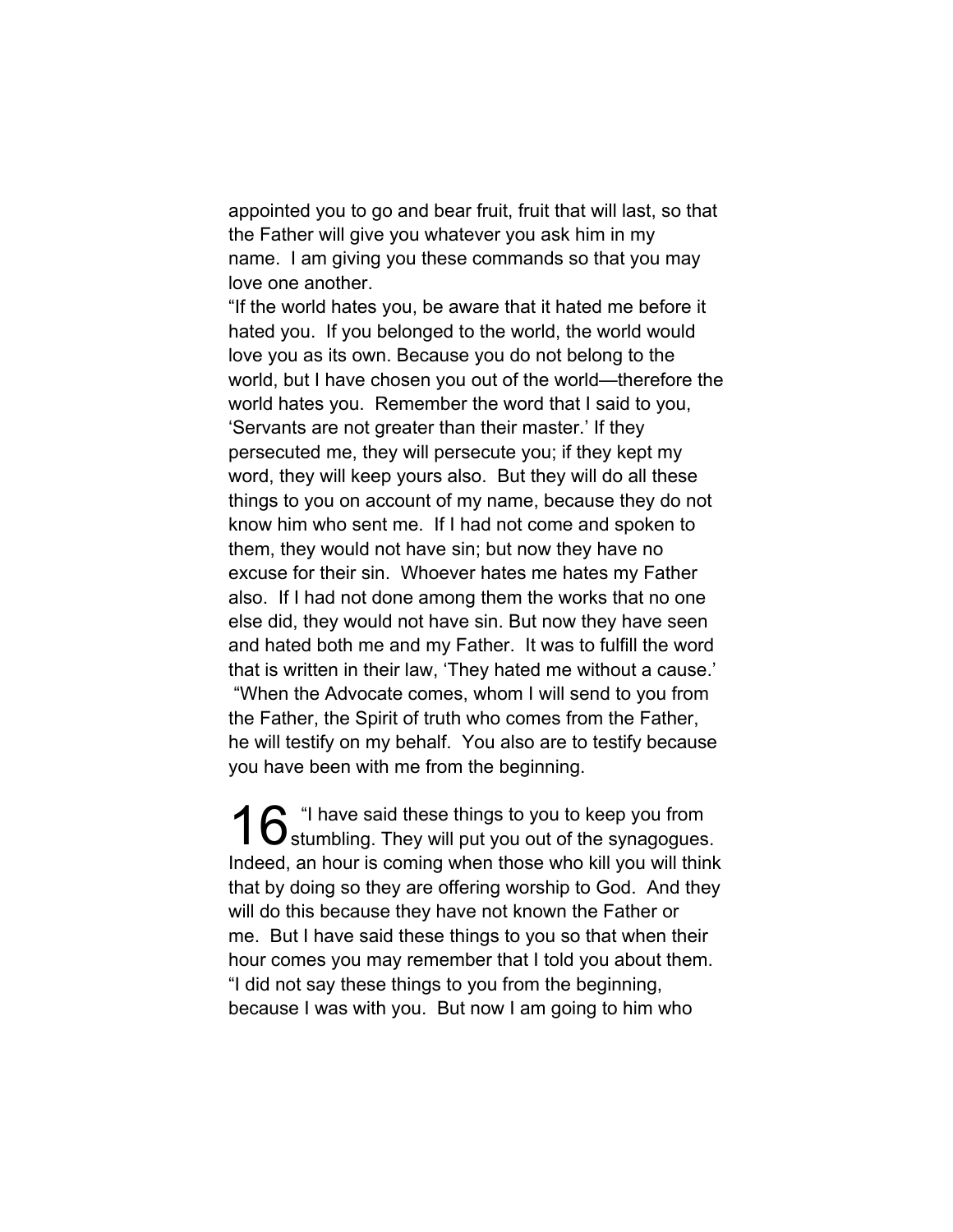appointed you to go and bear fruit, fruit that will last, so that the Father will give you whatever you ask him in my name. I am giving you these commands so that you may love one another.

"If the world hates you, be aware that it hated me before it hated you. If you belonged to the world, the world would love you as its own. Because you do not belong to the world, but I have chosen you out of the world—therefore the world hates you. Remember the word that I said to you, 'Servants are not greater than their master.' If they persecuted me, they will persecute you; if they kept my word, they will keep yours also. But they will do all these things to you on account of my name, because they do not know him who sent me. If I had not come and spoken to them, they would not have sin; but now they have no excuse for their sin. Whoever hates me hates my Father also. If I had not done among them the works that no one else did, they would not have sin. But now they have seen and hated both me and my Father. It was to fulfill the word that is written in their law, 'They hated me without a cause.' "When the Advocate comes, whom I will send to you from the Father, the Spirit of truth who comes from the Father, he will testify on my behalf. You also are to testify because you have been with me from the beginning.

 $\bullet$  "I have said these things to you to keep you from  **stumbling. They will put you out of the synagogues.** Indeed, an hour is coming when those who kill you will think that by doing so they are offering worship to God. And they will do this because they have not known the Father or me. But I have said these things to you so that when their hour comes you may remember that I told you about them. "I did not say these things to you from the beginning, because I was with you. But now I am going to him who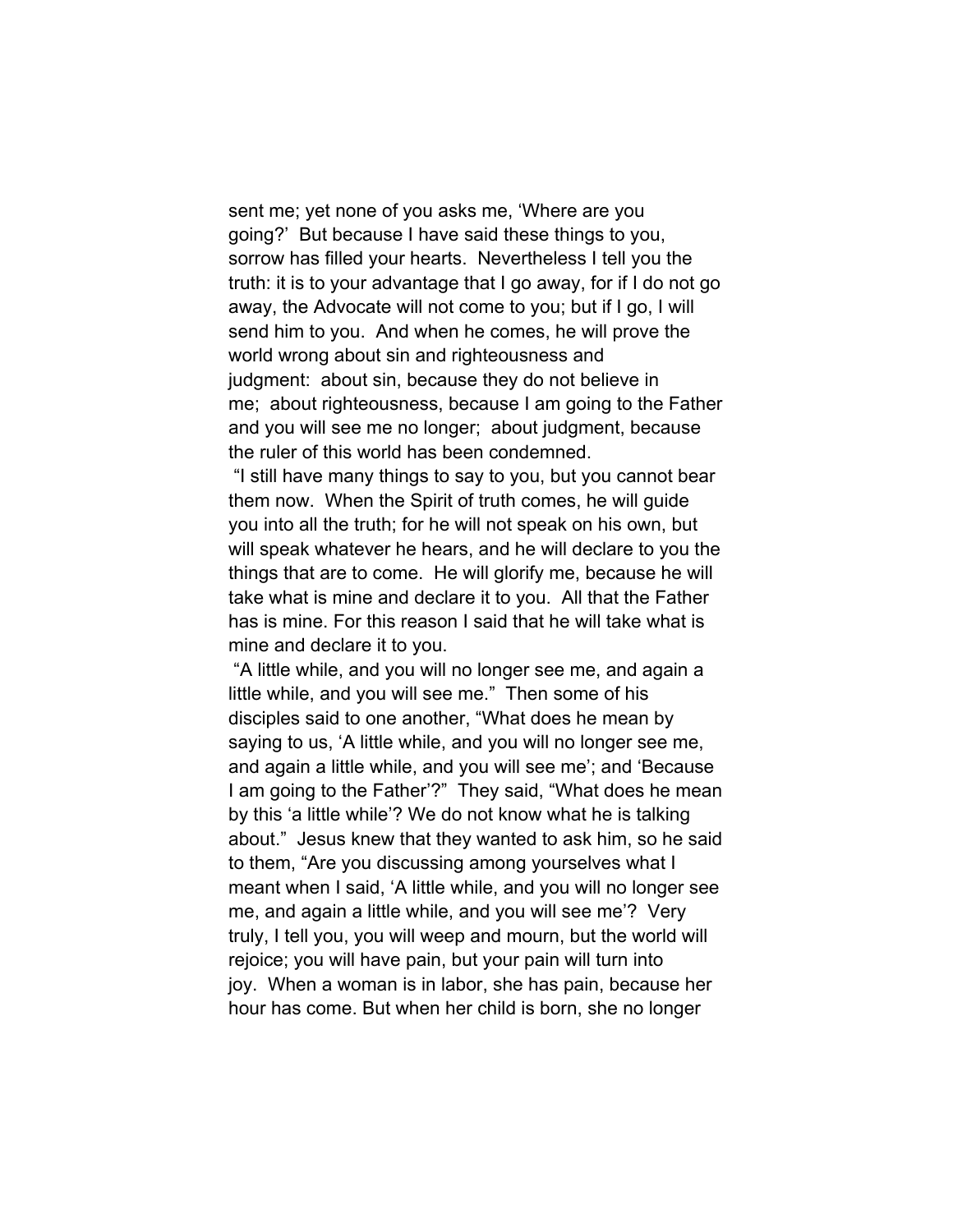sent me; yet none of you asks me, 'Where are you going?' But because I have said these things to you, sorrow has filled your hearts. Nevertheless I tell you the truth: it is to your advantage that I go away, for if I do not go away, the Advocate will not come to you; but if I go, I will send him to you. And when he comes, he will prove the world wrong about sin and righteousness and judgment: about sin, because they do not believe in me; about righteousness, because I am going to the Father and you will see me no longer; about judgment, because the ruler of this world has been condemned.

 "I still have many things to say to you, but you cannot bear them now. When the Spirit of truth comes, he will guide you into all the truth; for he will not speak on his own, but will speak whatever he hears, and he will declare to you the things that are to come. He will glorify me, because he will take what is mine and declare it to you. All that the Father has is mine. For this reason I said that he will take what is mine and declare it to you.

 "A little while, and you will no longer see me, and again a little while, and you will see me." Then some of his disciples said to one another, "What does he mean by saying to us, 'A little while, and you will no longer see me, and again a little while, and you will see me'; and 'Because I am going to the Father'?" They said, "What does he mean by this 'a little while'? We do not know what he is talking about." Jesus knew that they wanted to ask him, so he said to them, "Are you discussing among yourselves what I meant when I said, 'A little while, and you will no longer see me, and again a little while, and you will see me'? Very truly, I tell you, you will weep and mourn, but the world will rejoice; you will have pain, but your pain will turn into joy. When a woman is in labor, she has pain, because her hour has come. But when her child is born, she no longer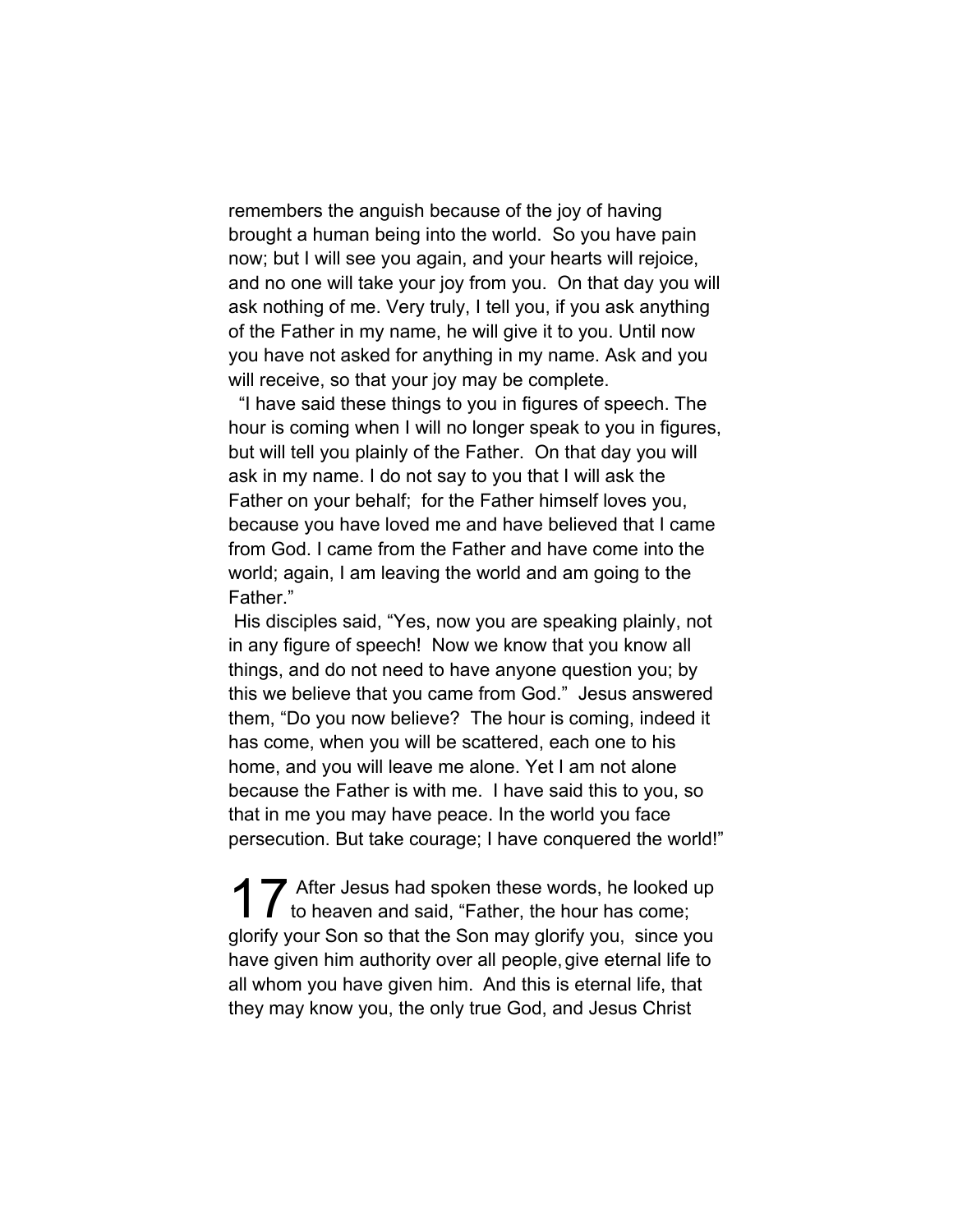remembers the anguish because of the joy of having brought a human being into the world. So you have pain now; but I will see you again, and your hearts will rejoice, and no one will take your joy from you. On that day you will ask nothing of me. Very truly, I tell you, if you ask anything of the Father in my name, he will give it to you. Until now you have not asked for anything in my name. Ask and you will receive, so that your joy may be complete.

 "I have said these things to you in figures of speech. The hour is coming when I will no longer speak to you in figures, but will tell you plainly of the Father. On that day you will ask in my name. I do not say to you that I will ask the Father on your behalf; for the Father himself loves you, because you have loved me and have believed that I came from God. I came from the Father and have come into the world; again, I am leaving the world and am going to the Father."

 His disciples said, "Yes, now you are speaking plainly, not in any figure of speech! Now we know that you know all things, and do not need to have anyone question you; by this we believe that you came from God." Jesus answered them, "Do you now believe? The hour is coming, indeed it has come, when you will be scattered, each one to his home, and you will leave me alone. Yet I am not alone because the Father is with me. I have said this to you, so that in me you may have peace. In the world you face persecution. But take courage; I have conquered the world!"

17 After Jesus had spoken these words, he looked up<br>17 to heaven and said, "Father, the hour has come; glorify your Son so that the Son may glorify you, since you have given him authority over all people, give eternal life to all whom you have given him. And this is eternal life, that they may know you, the only true God, and Jesus Christ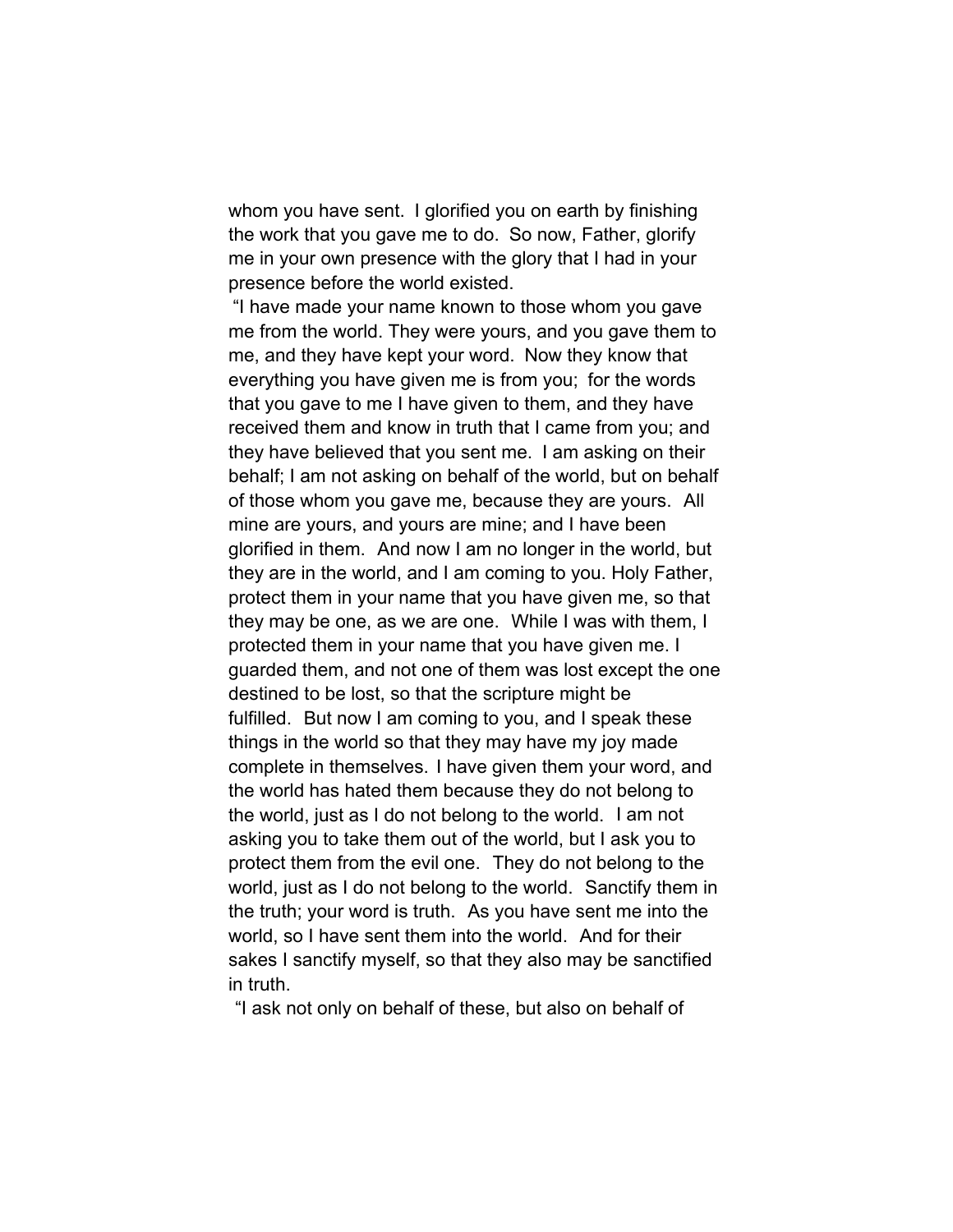whom you have sent. I glorified you on earth by finishing the work that you gave me to do. So now, Father, glorify me in your own presence with the glory that I had in your presence before the world existed.

 "I have made your name known to those whom you gave me from the world. They were yours, and you gave them to me, and they have kept your word. Now they know that everything you have given me is from you; for the words that you gave to me I have given to them, and they have received them and know in truth that I came from you; and they have believed that you sent me. I am asking on their behalf; I am not asking on behalf of the world, but on behalf of those whom you gave me, because they are yours. All mine are yours, and yours are mine; and I have been glorified in them. And now I am no longer in the world, but they are in the world, and I am coming to you. Holy Father, protect them in your name that you have given me, so that they may be one, as we are one. While I was with them, I protected them in your name that you have given me. I guarded them, and not one of them was lost except the one destined to be lost, so that the scripture might be fulfilled. But now I am coming to you, and I speak these things in the world so that they may have my joy made complete in themselves. I have given them your word, and the world has hated them because they do not belong to the world, just as I do not belong to the world. I am not asking you to take them out of the world, but I ask you to protect them from the evil one. They do not belong to the world, just as I do not belong to the world. Sanctify them in the truth; your word is truth. As you have sent me into the world, so I have sent them into the world. And for their sakes I sanctify myself, so that they also may be sanctified in truth.

"I ask not only on behalf of these, but also on behalf of